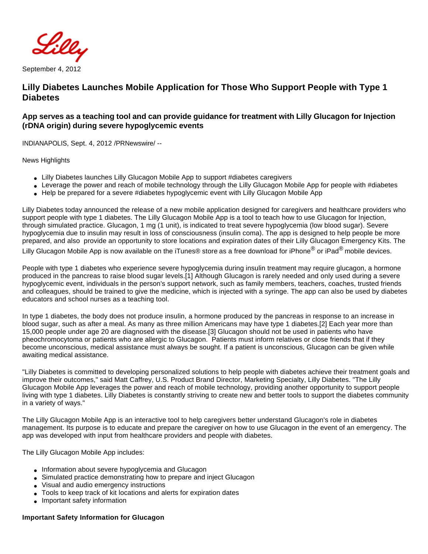

September 4, 2012

# **Lilly Diabetes Launches Mobile Application for Those Who Support People with Type 1 Diabetes**

## **App serves as a teaching tool and can provide guidance for treatment with Lilly Glucagon for Injection (rDNA origin) during severe hypoglycemic events**

INDIANAPOLIS, Sept. 4, 2012 /PRNewswire/ --

News Highlights

- Lilly Diabetes launches Lilly Glucagon Mobile App to support #diabetes caregivers
- Leverage the power and reach of mobile technology through the Lilly Glucagon Mobile App for people with #diabetes
- Help be prepared for a severe #diabetes hypoglycemic event with Lilly Glucagon Mobile App

Lilly Diabetes today announced the release of a new mobile application designed for caregivers and healthcare providers who support people with type 1 diabetes. The Lilly Glucagon Mobile App is a tool to teach how to use Glucagon for Injection, through simulated practice. Glucagon, 1 mg (1 unit), is indicated to treat severe hypoglycemia (low blood sugar). Severe hypoglycemia due to insulin may result in loss of consciousness (insulin coma). The app is designed to help people be more prepared, and also provide an opportunity to store locations and expiration dates of their Lilly Glucagon Emergency Kits. The Lilly Glucagon Mobile App is now available on the iTunes® store as a free download for iPhone<sup>®</sup> or iPad<sup>®</sup> mobile devices.

People with type 1 diabetes who experience severe hypoglycemia during insulin treatment may require glucagon, a hormone produced in the pancreas to raise blood sugar levels.[1] Although Glucagon is rarely needed and only used during a severe hypoglycemic event, individuals in the person's support network, such as family members, teachers, coaches, trusted friends and colleagues, should be trained to give the medicine, which is injected with a syringe. The app can also be used by diabetes educators and school nurses as a teaching tool.

In type 1 diabetes, the body does not produce insulin, a hormone produced by the pancreas in response to an increase in blood sugar, such as after a meal. As many as three million Americans may have type 1 diabetes.[2] Each year more than 15,000 people under age 20 are diagnosed with the disease.[3] Glucagon should not be used in patients who have pheochromocytoma or patients who are allergic to Glucagon. Patients must inform relatives or close friends that if they become unconscious, medical assistance must always be sought. If a patient is unconscious, Glucagon can be given while awaiting medical assistance.

"Lilly Diabetes is committed to developing personalized solutions to help people with diabetes achieve their treatment goals and improve their outcomes," said Matt Caffrey, U.S. Product Brand Director, Marketing Specialty, Lilly Diabetes. "The Lilly Glucagon Mobile App leverages the power and reach of mobile technology, providing another opportunity to support people living with type 1 diabetes. Lilly Diabetes is constantly striving to create new and better tools to support the diabetes community in a variety of ways."

The Lilly Glucagon Mobile App is an interactive tool to help caregivers better understand Glucagon's role in diabetes management. Its purpose is to educate and prepare the caregiver on how to use Glucagon in the event of an emergency. The app was developed with input from healthcare providers and people with diabetes.

The Lilly Glucagon Mobile App includes:

- Information about severe hypoglycemia and Glucagon
- Simulated practice demonstrating how to prepare and inject Glucagon
- Visual and audio emergency instructions
- Tools to keep track of kit locations and alerts for expiration dates
- Important safety information

## **Important Safety Information for Glucagon**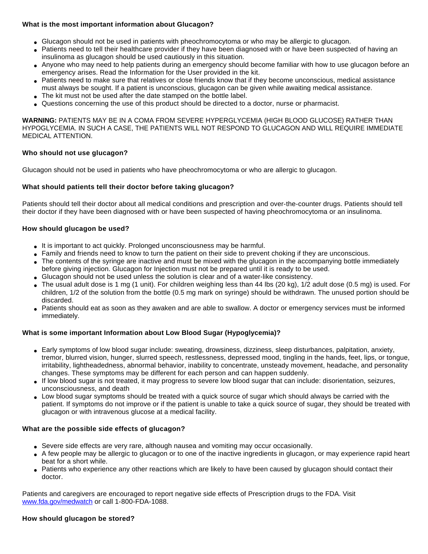## **What is the most important information about Glucagon?**

- Glucagon should not be used in patients with pheochromocytoma or who may be allergic to glucagon.
- Patients need to tell their healthcare provider if they have been diagnosed with or have been suspected of having an insulinoma as glucagon should be used cautiously in this situation.
- Anyone who may need to help patients during an emergency should become familiar with how to use glucagon before an emergency arises. Read the Information for the User provided in the kit.
- Patients need to make sure that relatives or close friends know that if they become unconscious, medical assistance must always be sought. If a patient is unconscious, glucagon can be given while awaiting medical assistance.
- The kit must not be used after the date stamped on the bottle label.
- Questions concerning the use of this product should be directed to a doctor, nurse or pharmacist.

**WARNING:** PATIENTS MAY BE IN A COMA FROM SEVERE HYPERGLYCEMIA (HIGH BLOOD GLUCOSE) RATHER THAN HYPOGLYCEMIA. IN SUCH A CASE, THE PATIENTS WILL NOT RESPOND TO GLUCAGON AND WILL REQUIRE IMMEDIATE MEDICAL ATTENTION.

#### **Who should not use glucagon?**

Glucagon should not be used in patients who have pheochromocytoma or who are allergic to glucagon.

#### **What should patients tell their doctor before taking glucagon?**

Patients should tell their doctor about all medical conditions and prescription and over-the-counter drugs. Patients should tell their doctor if they have been diagnosed with or have been suspected of having pheochromocytoma or an insulinoma.

#### **How should glucagon be used?**

- It is important to act quickly. Prolonged unconsciousness may be harmful.
- Family and friends need to know to turn the patient on their side to prevent choking if they are unconscious.
- The contents of the syringe are inactive and must be mixed with the glucagon in the accompanying bottle immediately before giving injection. Glucagon for Injection must not be prepared until it is ready to be used.
- Glucagon should not be used unless the solution is clear and of a water-like consistency.
- The usual adult dose is 1 mg (1 unit). For children weighing less than 44 lbs (20 kg), 1/2 adult dose (0.5 mg) is used. For children, 1/2 of the solution from the bottle (0.5 mg mark on syringe) should be withdrawn. The unused portion should be discarded.
- Patients should eat as soon as they awaken and are able to swallow. A doctor or emergency services must be informed immediately.

#### **What is some important Information about Low Blood Sugar (Hypoglycemia)?**

- Early symptoms of low blood sugar include: sweating, drowsiness, dizziness, sleep disturbances, palpitation, anxiety, tremor, blurred vision, hunger, slurred speech, restlessness, depressed mood, tingling in the hands, feet, lips, or tongue, irritability, lightheadedness, abnormal behavior, inability to concentrate, unsteady movement, headache, and personality changes. These symptoms may be different for each person and can happen suddenly.
- If low blood sugar is not treated, it may progress to severe low blood sugar that can include: disorientation, seizures, unconsciousness, and death
- Low blood sugar symptoms should be treated with a quick source of sugar which should always be carried with the patient. If symptoms do not improve or if the patient is unable to take a quick source of sugar, they should be treated with glucagon or with intravenous glucose at a medical facility.

#### **What are the possible side effects of glucagon?**

- Severe side effects are very rare, although nausea and vomiting may occur occasionally.
- A few people may be allergic to glucagon or to one of the inactive ingredients in glucagon, or may experience rapid heart beat for a short while.
- Patients who experience any other reactions which are likely to have been caused by glucagon should contact their doctor.

Patients and caregivers are encouraged to report negative side effects of Prescription drugs to the FDA. Visit [www.fda.gov/medwatch](http://www.fda.gov/medwatch) or call 1-800-FDA-1088.

#### **How should glucagon be stored?**